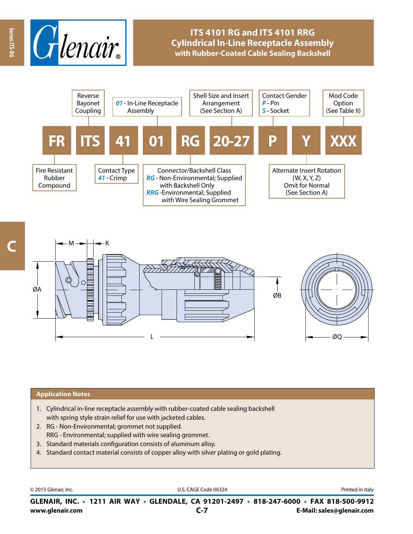

# **ITS 4101 RG and ITS 4101 RRG Cylindrical In-Line Receptacle Assembly with Rubber-Coated Cable Sealing Backshell**





#### **Application Notes**

- 1. Cylindrical in-line receptacle assembly with rubber-coated cable sealing backshell with spring style strain relief for use with jacketed cables.
- 2. RG Non-Environmental; grommet not supplied. RRG - Environmental; supplied with wire sealing grommet.
- 3. Standard materials configuration consists of aluminum alloy.
- 4. Standard contact material consists of copper alloy with silver plating or gold plating.

© 2015 Glenair, Inc. **Discription Construction Construction Construction Construction Construction Construction Construction Construction Construction Construction Construction Construction Construction Construction Constr** 

**www.glenair.com E-Mail: sales@glenair.com GLENAIR, INC. • 1211 AIR WAY • GLENDALE, CA 91201-2497 • 818-247-6000 • FAX 818-500-9912 C-7**

**C**